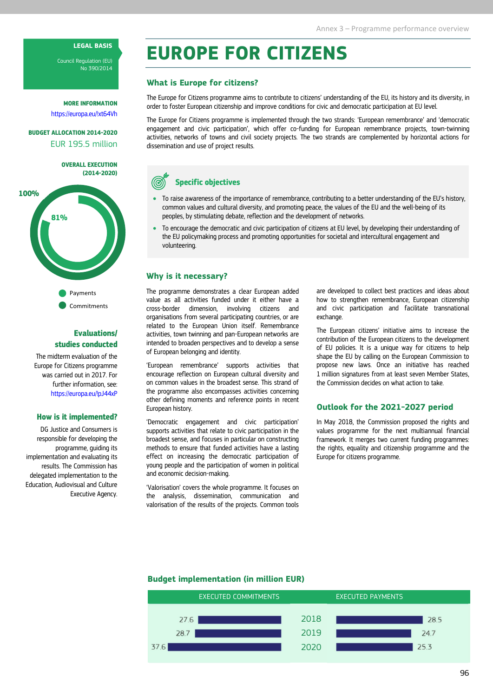# LEGAL BASIS

Council Regulation (EU) No 390/2014

MORE INFORMATION https://europa.eu/!xt64Vh

BUDGET ALLOCATION 2014-2020 EUR 195.5 million

> OVERALL EXECUTION (2014-2020)



**Commitments** 

# Evaluations/ studies conducted

The midterm evaluation of the Europe for Citizens programme was carried out in 2017. For further information, see: https://europa.eu/!pJ44xP

#### How is it implemented?

DG Justice and Consumers is responsible for developing the programme, guiding its implementation and evaluating its results. The Commission has delegated implementation to the Education, Audiovisual and Culture Executive Agency.

# EUROPE FOR CITIZENS

## What is Europe for citizens?

The Europe for Citizens programme aims to contribute to citizens' understanding of the EU, its history and its diversity, in order to foster European citizenship and improve conditions for civic and democratic participation at EU level.

The Europe for Citizens programme is implemented through the two strands: 'European remembrance' and 'democratic engagement and civic participation', which offer co-funding for European remembrance projects, town-twinning activities, networks of towns and civil society projects. The two strands are complemented by horizontal actions for dissemination and use of project results.



- To raise awareness of the importance of remembrance, contributing to a better understanding of the EU's history, common values and cultural diversity, and promoting peace, the values of the EU and the well-being of its peoples, by stimulating debate, reflection and the development of networks.
- To encourage the democratic and civic participation of citizens at EU level, by developing their understanding of the EU policymaking process and promoting opportunities for societal and intercultural engagement and volunteering.

## Why is it necessary?

The programme demonstrates a clear European added value as all activities funded under it either have a cross-border dimension, involving citizens and organisations from several participating countries, or are related to the European Union itself. Remembrance activities, town twinning and pan-European networks are intended to broaden perspectives and to develop a sense of European belonging and identity.

'European remembrance' supports activities that encourage reflection on European cultural diversity and on common values in the broadest sense. This strand of the programme also encompasses activities concerning other defining moments and reference points in recent European history.

'Democratic engagement and civic participation' supports activities that relate to civic participation in the broadest sense, and focuses in particular on constructing methods to ensure that funded activities have a lasting effect on increasing the democratic participation of young people and the participation of women in political and economic decision-making.

'Valorisation' covers the whole programme. It focuses on the analysis, dissemination, communication and valorisation of the results of the projects. Common tools

are developed to collect best practices and ideas about how to strengthen remembrance, European citizenship and civic participation and facilitate transnational exchange.

The European citizens' initiative aims to increase the contribution of the European citizens to the development of EU policies. It is a unique way for citizens to help shape the EU by calling on the European Commission to propose new laws. Once an initiative has reached 1 million signatures from at least seven Member States, the Commission decides on what action to take.

#### Outlook for the 2021-2027 period

In May 2018, the Commission proposed the rights and values programme for the next multiannual financial framework. It merges two current funding programmes: the rights, equality and citizenship programme and the Europe for citizens programme.

#### Budget implementation (in million EUR)